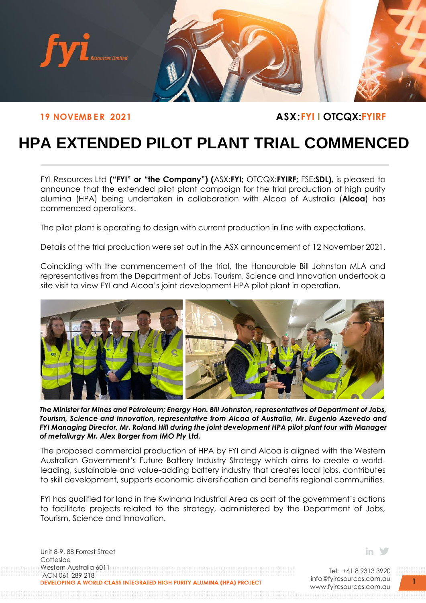

## **19 NOVEMBER 2021 ASX:FYI I OTCQX:FYIRF**

# **HPA EXTENDED PILOT PLANT TRIAL COMMENCED**

FYI Resources Ltd **("FYI" or "the Company") (**ASX:**FYI;** OTCQX:**FYIRF;** FSE:**SDL)**, is pleased to announce that the extended pilot plant campaign for the trial production of high purity alumina (HPA) being undertaken in collaboration with Alcoa of Australia (**Alcoa**) has commenced operations.

The pilot plant is operating to design with current production in line with expectations.

Details of the trial production were set out in the ASX announcement of 12 November 2021.

Coinciding with the commencement of the trial, the Honourable Bill Johnston MLA and representatives from the Department of Jobs, Tourism, Science and Innovation undertook a site visit to view FYI and Alcoa's joint development HPA pilot plant in operation.



*The Minister for Mines and Petroleum; Energy Hon. Bill Johnston, representatives of Department of Jobs, Tourism, Science and Innovation, representative from Alcoa of Australia, Mr. Eugenio Azevedo and FYI Managing Director, Mr. Roland Hill during the joint development HPA pilot plant tour with Manager of metallurgy Mr. Alex Borger from IMO Pty Ltd.* 

The proposed commercial production of HPA by FYI and Alcoa is aligned with the Western Australian Government's Future Battery Industry Strategy which aims to create a worldleading, sustainable and value-adding battery industry that creates local jobs, contributes to skill development, supports economic diversification and benefits regional communities.

FYI has qualified for land in the Kwinana Industrial Area as part of the government's actions to facilitate projects related to the strategy, administered by the Department of Jobs, Tourism, Science and Innovation.

Unit 8-9, 88 Forrest Street **Cottesloe** Western Australia 6011 ACN 061 289 218<br>DEVELOPING A WORLD CLASS INTEGRATED HIGH PURITY ALUMINA (HPA) PROJECT in V

Tel: +61 8 9313 3920 [info@fyiresources.com.au](mailto:info@fyiresources.com.au) [www.fyiresources.com.au](mailto:https://www.fyiresources.com.au/)

**1**